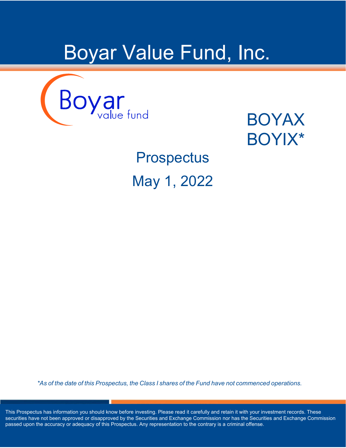# Boyar Value Fund, Inc.



## BOYAX BOYIX\*

**Prospectus** May 1, 2022

*\*As of the date of this Prospectus, the Class I shares of the Fund have not commenced operations.*

This Prospectus has information you should know before investing. Please read it carefully and retain it with your investment records. These securities have not been approved or disapproved by the Securities and Exchange Commission nor has the Securities and Exchange Commission passed upon the accuracy or adequacy of this Prospectus. Any representation to the contrary is a criminal offense.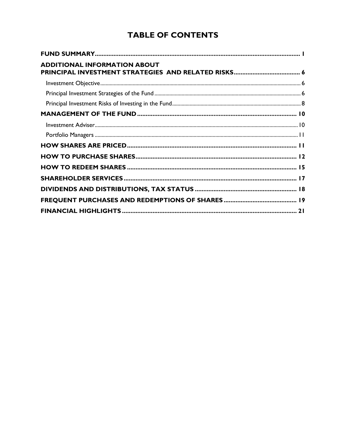## **TABLE OF CONTENTS**

| <b>ADDITIONAL INFORMATION ABOUT</b> |  |
|-------------------------------------|--|
|                                     |  |
|                                     |  |
|                                     |  |
|                                     |  |
|                                     |  |
|                                     |  |
|                                     |  |
|                                     |  |
|                                     |  |
|                                     |  |
|                                     |  |
|                                     |  |
|                                     |  |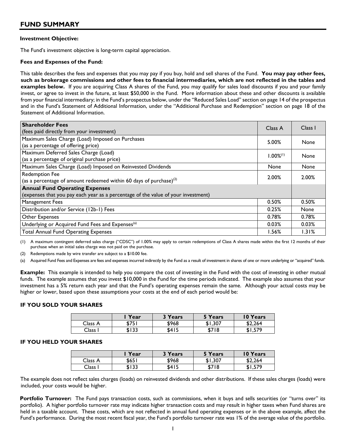#### <span id="page-2-0"></span>**Investment Objective:**

The Fund's investment objective is long-term capital appreciation.

#### **Fees and Expenses of the Fund:**

This table describes the fees and expenses that you may pay if you buy, hold and sell shares of the Fund. **You may pay other fees, such as brokerage commissions and other fees to financial intermediaries, which are not reflected in the tables and examples below.** If you are acquiring Class A shares of the Fund, you may qualify for sales load discounts if you and your family invest, or agree to invest in the future, at least \$50,000 in the Fund. More information about these and other discounts is available from your financial intermediary; in the Fund's prospectus below, under the "Reduced Sales Load" section on page 14 of the prospectus and in the Fund's Statement of Additional Information, under the "Additional Purchase and Redemption" section on page 18 of the Statement of Additional Information.

| <b>Shareholder Fees</b><br>(fees paid directly from your investment)                                                       | Class A        | Class I     |
|----------------------------------------------------------------------------------------------------------------------------|----------------|-------------|
| Maximum Sales Charge (Load) Imposed on Purchases<br>(as a percentage of offering price)                                    | 5.00%          | None        |
| Maximum Deferred Sales Charge (Load)<br>(as a percentage of original purchase price)                                       | $1.00\%^{(1)}$ | None        |
| Maximum Sales Charge (Load) Imposed on Reinvested Dividends                                                                | None           | None        |
| <b>Redemption Fee</b><br>(as a percentage of amount redeemed within 60 days of purchase) $^{(2)}$                          | 2.00%          | 2.00%       |
| <b>Annual Fund Operating Expenses</b><br>(expenses that you pay each year as a percentage of the value of your investment) |                |             |
| Management Fees                                                                                                            | 0.50%          | 0.50%       |
| Distribution and/or Service (12b-1) Fees                                                                                   | 0.25%          | <b>None</b> |
| Other Expenses                                                                                                             | 0.78%          | 0.78%       |
| Underlying or Acquired Fund Fees and Expenses <sup>(a)</sup>                                                               | 0.03%          | 0.03%       |
| <b>Total Annual Fund Operating Expenses</b>                                                                                | 1.56%          | 1.31%       |

(1) A maximum contingent deferred sales charge ("CDSC") of 1.00% may apply to certain redemptions of Class A shares made within the first 12 months of their purchase when an initial sales charge was not paid on the purchase.

(2) Redemptions made by wire transfer are subject to a \$10.00 fee.

Acquired Fund Fees and Expenses are fees and expenses incurred indirectly by the Fund as a result of investment in shares of one or more underlying or "acquired" funds.

**Example:** This example is intended to help you compare the cost of investing in the Fund with the cost of investing in other mutual funds. The example assumes that you invest \$10,000 in the Fund for the time periods indicated. The example also assumes that your investment has a 5% return each year and that the Fund's operating expenses remain the same. Although your actual costs may be higher or lower, based upon these assumptions your costs at the end of each period would be:

#### **IF YOU SOLD YOUR SHARES**

|             | Year  | <sup>2</sup> Years | 5 Years | <b>10 Years</b> |
|-------------|-------|--------------------|---------|-----------------|
| Class A     | \$751 | \$968              | \$1,307 | \$2.264         |
| $\cap$ lass | \$133 | \$415              | \$718   | \$1,579         |

#### **IF YOU HELD YOUR SHARES**

|         | Year  | <sup>2</sup> Years | 5 Years | 10 Years |
|---------|-------|--------------------|---------|----------|
| Class A | \$651 | \$968              | \$1.307 | \$2.264  |
| Class I | \$133 | \$415              | \$718   | \$1,579  |

The example does not reflect sales charges (loads) on reinvested dividends and other distributions. If these sales charges (loads) were included, your costs would be higher.

Portfolio Turnover: The Fund pays transaction costs, such as commissions, when it buys and sells securities (or "turns over" its portfolio). A higher portfolio turnover rate may indicate higher transaction costs and may result in higher taxes when Fund shares are held in a taxable account. These costs, which are not reflected in annual fund operating expenses or in the above example, affect the Fund's performance. During the most recent fiscal year, the Fund's portfolio turnover rate was 1% of the average value of the portfolio.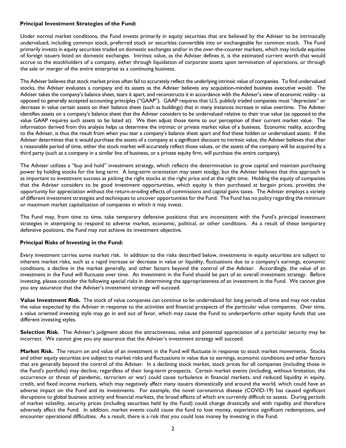#### **Principal Investment Strategies of the Fund:**

Under normal market conditions, the Fund invests primarily in equity securities that are believed by the Adviser to be intrinsically undervalued, including common stock, preferred stock or securities convertible into or exchangeable for common stock. The Fund primarily invests in equity securities traded on domestic exchanges and/or in the over-the-counter markets, which may include equities of foreign issuers listed on domestic exchanges. Intrinsic value, as the Adviser defines it, is the estimated current worth that would accrue to the stockholders of a company, either through liquidation of corporate assets upon termination of operations, or through the sale or merger of the entire enterprise as a continuing business.

The Adviser believes that stock market prices often fail to accurately reflect the underlying intrinsic value of companies. To find undervalued stocks, the Adviser evaluates a company and its assets as the Adviser believes any acquisition-minded business executive would. The Adviser takes the company's balance sheet, tears it apart, and reconstructs it in accordance with the Adviser's view of economic reality - as opposed to generally accepted accounting principles ("GAAP"). GAAP requires that U.S. publicly traded companies must "depreciate" or decrease in value certain assets on their balance sheet (such as buildings) that in many instances increase in value overtime. The Adviser identifies assets on a company's balance sheet that the Adviser considers to be undervalued relative to their true value (as opposed to the value GAAP requires such assets to be listed at). We then adjust those items to our perception of their current market value. The information derived from this analysis helps us determine the intrinsic or private market value of a business. Economic reality, according to the Adviser, is thus the result from when you tear a company's balance sheet apart and find these hidden or undervalued assets. If the Adviser determines that it would purchase the assets of a company at a significant discount to intrinsic value, the Adviser believes that after a reasonable period of time, either the stock market will accurately reflect those values, or the assets of the company will be acquired by a third party (such as a company in a similar line of business, or a private equity firm, will purchase the entire company).

The Adviser utilizes a "buy and hold" investment strategy, which reflects the determination to grow capital and maintain purchasing power by holding stocks for the long term. A long-term orientation may seem stodgy, but the Adviser believes that this approach is as important to investment success as picking the right stocks at the right price and at the right time. Holding the equity of companies that the Adviser considers to be good investment opportunities, which equity is then purchased at bargain prices, provides the opportunity for appreciation without the return-eroding effects of commissions and capital gains taxes. The Adviser employs a variety of different investment strategies and techniques to uncover opportunities for the Fund. The Fund has no policy regarding the minimum or maximum market capitalization of companies in which it may invest.

The Fund may, from time to time, take temporary defensive positions that are inconsistent with the Fund's principal investment strategies in attempting to respond to adverse market, economic, political, or other conditions. As a result of these temporary defensive positions, the Fund may not achieve its investment objective.

#### **Principal Risks of Investing in the Fund:**

Every investment carries some market risk. In addition to the risks described below, investments in equity securities are subject to inherent market risks, such as a rapid increase or decrease in value or liquidity, fluctuations due to a company's earnings, economic conditions, a decline in the market generally, and other factors beyond the control of the Adviser. Accordingly, the value of an investment in the Fund will fluctuate over time. An investment in the Fund should be part of an overall investment strategy. Before investing, please consider the following special risks in determining the appropriateness of an investment in the Fund. We cannot give you any assurance that the Adviser's investment strategy will succeed.

**Value Investment Risk.** The stock of value companies can continue to be undervalued for long periods of time and may not realize the value expected by the Adviser in response to the activities and financial prospects of the particular value companies. Over time, a value oriented investing style may go in and out of favor, which may cause the Fund to underperform other equity funds that use different investing styles.

Selection Risk. The Adviser's judgment about the attractiveness, value and potential appreciation of a particular security may be incorrect. We cannot give you any assurance that the Adviser's investment strategy will succeed.

**Market Risk.** The return on and value of an investment in the Fund will fluctuate in response to stock market movements. Stocks and other equity securities are subject to market risks and fluctuations in value due to earnings, economic conditions and other factors that are generally beyond the control of the Adviser. In a declining stock market, stock prices for all companies (including those in the Fund's portfolio) may decline, regardless of their long-term prospects. Certain market events (including, without limitation, the occurrence or threat of pandemic, terrorism or war) could cause turbulence in financial markets, and reduced liquidity in equity, credit, and fixed income markets, which may negatively affect many issuers domestically and around the world, which could have an adverse impact on the Fund and its investments. For example, the novel coronavirus disease (COVID-19) has caused significant disruptions to global business activity and financial markets, the broad effects of which are currently difficult to assess. During periods of market volatility, security prices (including securities held by the Fund) could change drastically and with rapidity and therefore adversely affect the Fund. In addition, market events could cause the fund to lose money, experience significant redemptions, and encounter operational difficulties. As a result, there is a risk that you could lose money by investing in the Fund.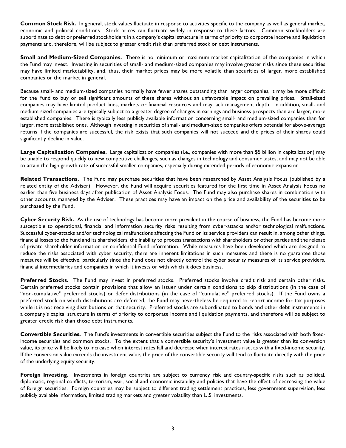**Common Stock Risk.** In general, stock values fluctuate in response to activities specific to the company as well as general market, economic and political conditions. Stock prices can fluctuate widely in response to these factors. Common stockholders are subordinate to debt or preferred stockholders in a company's capital structure in terms of priority to corporate income and liquidation payments and, therefore, will be subject to greater credit risk than preferred stock or debt instruments.

**Small and Medium-Sized Companies.** There is no minimum or maximum market capitalization of the companies in which the Fund may invest. Investing in securities of small- and medium-sized companies may involve greater risks since these securities may have limited marketability, and, thus, their market prices may be more volatile than securities of larger, more established companies or the market in general.

Because small- and medium-sized companies normally have fewer shares outstanding than larger companies, it may be more difficult for the Fund to buy or sell significant amounts of these shares without an unfavorable impact on prevailing prices. Small-sized companies may have limited product lines, markets or financial resources and may lack management depth. In addition, small- and medium-sized companies are typically subject to a greater degree of changes in earnings and business prospects than are larger, more established companies. There is typically less publicly available information concerning small- and medium-sized companies than for larger, more established ones. Although investing in securities of small- and medium-sized companies offers potential for above-average returns if the companies are successful, the risk exists that such companies will not succeed and the prices of their shares could significantly decline in value.

**Large Capitalization Companies.** Large capitalization companies (i.e., companies with more than \$5 billion in capitalization) may be unable to respond quickly to new competitive challenges, such as changes in technology and consumer tastes, and may not be able to attain the high growth rate of successful smaller companies, especially during extended periods of economic expansion.

**Related Transactions.** The Fund may purchase securities that have been researched by Asset Analysis Focus (published by a related entity of the Adviser). However, the Fund will acquire securities featured for the first time in Asset Analysis Focus no earlier than five business days after publication of Asset Analysis Focus. The Fund may also purchase shares in combination with other accounts managed by the Adviser. These practices may have an impact on the price and availability of the securities to be purchased by the Fund.

**Cyber Security Risk.** As the use of technology has become more prevalent in the course of business, the Fund has become more susceptible to operational, financial and information security risks resulting from cyber-attacks and/or technological malfunctions. Successful cyber-attacks and/or technological malfunctions affecting the Fund or its service providers can result in, among other things, financial losses to the Fund and its shareholders, the inability to process transactions with shareholders or other parties and the release of private shareholder information or confidential Fund information. While measures have been developed which are designed to reduce the risks associated with cyber security, there are inherent limitations in such measures and there is no guarantee those measures will be effective, particularly since the Fund does not directly control the cyber security measures of its service providers, financial intermediaries and companies in which it invests or with which it does business.

**Preferred Stocks.** The Fund may invest in preferred stocks. Preferred stocks involve credit risk and certain other risks. Certain preferred stocks contain provisions that allow an issuer under certain conditions to skip distributions (in the case of "non-cumulative" preferred stocks) or defer distributions (in the case of "cumulative" preferred stocks). If the Fund owns a preferred stock on which distributions are deferred, the Fund may nevertheless be required to report income for tax purposes while it is not receiving distributions on that security. Preferred stocks are subordinated to bonds and other debt instruments in a company's capital structure in terms of priority to corporate income and liquidation payments, and therefore will be subject to greater credit risk than those debt instruments.

**Convertible Securities.** The Fund's investments in convertible securities subject the Fund to the risks associated with both fixedincome securities and common stocks. To the extent that a convertible security's investment value is greater than its conversion value, its price will be likely to increase when interest rates fall and decrease when interest rates rise, as with a fixed-income security. If the conversion value exceeds the investment value, the price of the convertible security will tend to fluctuate directly with the price of the underlying equity security.

**Foreign Investing.** Investments in foreign countries are subject to currency risk and country-specific risks such as political, diplomatic, regional conflicts, terrorism, war, social and economic instability and policies that have the effect of decreasing the value of foreign securities. Foreign countries may be subject to different trading settlement practices, less government supervision, less publicly available information, limited trading markets and greater volatility than U.S. investments.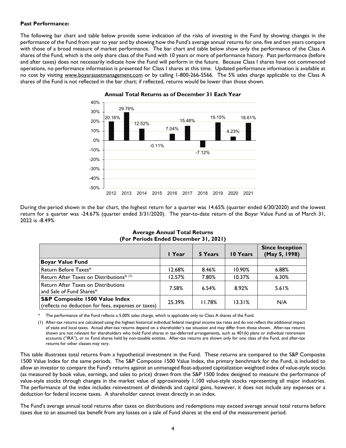#### **Past Performance:**

The following bar chart and table below provide some indication of the risks of investing in the Fund by showing changes in the performance of the Fund from year to year and by showing how the Fund's average annual returns for one, five and ten years compare with those of a broad measure of market performance. The bar chart and table below show only the performance of the Class A shares of the Fund, which is the only share class of the Fund with 10 years or more of performance history. Past performance (before and after taxes) does not necessarily indicate how the Fund will perform in the future. Because Class I shares have not commenced operations, no performance information is presented for Class I shares at this time. Updated performance information is available at no cost by visiting [www.boyarassetmanagement.com](http://www.boyarassetmanagement.com/) or by calling 1-800-266-5566. The 5% sales charge applicable to the Class A shares of the Fund is not reflected in the bar chart; if reflected, returns would be lower than those shown.



#### **Annual Total Returns as of December 31 Each Year**

During the period shown in the bar chart, the highest return for a quarter was 14.65% (quarter ended 6/30/2020) and the lowest return for a quarter was -24.67% (quarter ended 3/31/2020). The year-to-date return of the Boyar Value Fund as of March 31, 2022 is -8.49%

|                                                                                                  | I Year | 5 Years | 10 Years | <b>Since Inception</b><br>(May 5, 1998) |
|--------------------------------------------------------------------------------------------------|--------|---------|----------|-----------------------------------------|
| <b>Boyar Value Fund</b>                                                                          |        |         |          |                                         |
| Return Before Taxes*                                                                             | 12.68% | 8.46%   | 10.90%   | 6.88%                                   |
| Return After Taxes on Distributions* (1)                                                         | 12.57% | 7.80%   | 10.37%   | 6.30%                                   |
| Return After Taxes on Distributions<br>and Sale of Fund Shares*                                  | 7.58%  | 6.54%   | 8.92%    | 5.61%                                   |
| <b>S&amp;P Composite 1500 Value Index</b><br>(reflects no deduction for fees, expenses or taxes) | 25.39% | 11.78%  | 13.31%   | N/A                                     |

#### **Average Annual Total Returns (For Periods Ended December 31, 2021)**

The performance of the Fund reflects a 5.00% sales charge, which is applicable only to Class A shares of the Fund.

(1) After-tax returns are calculated using the highest historical individual federal marginal income tax rates and do not reflect the additional impact of state and local taxes. Actual after-tax returns depend on a shareholder's tax situation and may differ from those shown. After-tax returns shown are not relevant for shareholders who hold Fund shares in tax-deferred arrangements, such as 401(k) plans or individual retirement accounts ("IRA"), or to Fund shares held by non-taxable entities. After-tax returns are shown only for one class of the Fund, and after-tax returns for other classes may vary.

This table illustrates total returns from a hypothetical investment in the Fund. These returns are compared to the S&P Composite 1500 Value Index for the same periods. The S&P Composite 1500 Value Index, the primary benchmark for the Fund, is included to allow an investor to compare the Fund's returns against an unmanaged float-adjusted capitalization weighted index of value-style stocks (as measured by book value, earnings, and sales to price) drawn from the S&P 1500 Index designed to measure the performance of value-style stocks through changes in the market value of approximately 1,100 value-style stocks representing all major industries. The performance of the index includes reinvestment of dividends and capital gains, however, it does not include any expenses or a deduction for federal income taxes. A shareholder cannot invest directly in an index.

The Fund's average annual total returns after taxes on distributions and redemptions may exceed average annual total returns before taxes due to an assumed tax benefit from any losses on a sale of Fund shares at the end of the measurement period.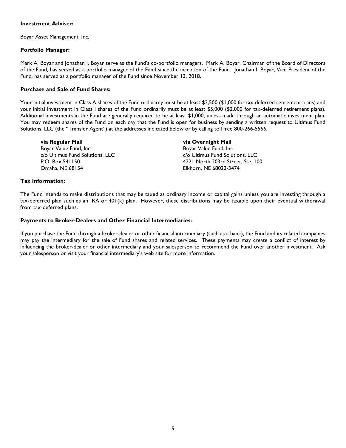#### **Investment Adviser:**

Boyar Asset Management, Inc.

#### **Portfolio Manager:**

Mark A. Boyar and Jonathan I. Boyar serve as the Fund's co-portfolio managers. Mark A. Boyar, Chairman of the Board of Directors of the Fund, has served as a portfolio manager of the Fund since the inception of the Fund. Jonathan I. Boyar, Vice President of the Fund, has served as a portfolio manager of the Fund since November 13, 2018.

#### **Purchase and Sale of Fund Shares:**

Your initial investment in Class A shares of the Fund ordinarily must be at least \$2,500 (\$1,000 for tax-deferred retirement plans) and your initial investment in Class I shares of the Fund ordinarily must be at least \$5,000 (\$2,000 for tax-deferred retirement plans). Additional investments in the Fund are generally required to be at least \$1,000, unless made through an automatic investment plan. You may redeem shares of the Fund on each day that the Fund is open for business by sending a written request to Ultimus Fund Solutions, LLC (the "Transfer Agent") at the addresses indicated below or by calling toll free 800-266-5566.

**via Regular Mail via Overnight Mail** Boyar Value Fund, Inc. c/o Ultimus Fund Solutions, LLC c/o Ultimus Fund Solutions, LLC Omaha, NE 68154 Elkhorn, NE 68022-3474

P.O. Box 541150 4221 North 203rd Street, Ste. 100

#### **Tax Information:**

The Fund intends to make distributions that may be taxed as ordinary income or capital gains unless you are investing through a tax-deferred plan such as an IRA or 401(k) plan. However, these distributions may be taxable upon their eventual withdrawal from tax-deferred plans.

#### **Payments to Broker-Dealers and Other Financial Intermediaries:**

If you purchase the Fund through a broker-dealer or other financial intermediary (such as a bank), the Fund and its related companies may pay the intermediary for the sale of Fund shares and related services. These payments may create a conflict of interest by influencing the broker-dealer or other intermediary and your salesperson to recommend the Fund over another investment. Ask your salesperson or visit your financial intermediary's web site for more information.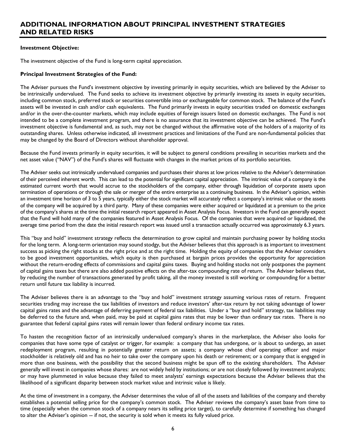## <span id="page-7-0"></span>**ADDITIONAL INFORMATION ABOUT PRINCIPAL INVESTMENT STRATEGIES AND RELATED RISKS**

#### <span id="page-7-1"></span>**Investment Objective:**

The investment objective of the Fund is long-term capital appreciation.

#### <span id="page-7-2"></span>**Principal Investment Strategies of the Fund:**

The Adviser pursues the Fund's investment objective by investing primarily in equity securities, which are believed by the Adviser to be intrinsically undervalued. The Fund seeks to achieve its investment objective by primarily investing its assets in equity securities, including common stock, preferred stock or securities convertible into or exchangeable for common stock. The balance of the Fund's assets will be invested in cash and/or cash equivalents. The Fund primarily invests in equity securities traded on domestic exchanges and/or in the over-the-counter markets, which may include equities of foreign issuers listed on domestic exchanges. The Fund is not intended to be a complete investment program, and there is no assurance that its investment objective can be achieved. The Fund's investment objective is fundamental and, as such, may not be changed without the affirmative vote of the holders of a majority of its outstanding shares. Unless otherwise indicated, all investment practices and limitations of the Fund are non-fundamental policies that may be changed by the Board of Directors without shareholder approval.

Because the Fund invests primarily in equity securities, it will be subject to general conditions prevailing in securities markets and the net asset value ("NAV") of the Fund's shares will fluctuate with changes in the market prices of its portfolio securities.

The Adviser seeks out intrinsically undervalued companies and purchases their shares at low prices relative to the Adviser's determination of their perceived inherent worth. This can lead to the potential for significant capital appreciation. The intrinsic value of a company is the estimated current worth that would accrue to the stockholders of the company, either through liquidation of corporate assets upon termination of operations or through the sale or merger of the entire enterprise as a continuing business. In the Adviser's opinion, within an investment time horizon of 3 to 5 years, typically either the stock market will accurately reflect a company's intrinsic value or the assets of the company will be acquired by a third party. Many of these companies were either acquired or liquidated at a premium to the price of the company's shares at the time the initial research report appeared in Asset Analysis Focus. Investors in the Fund can generally expect that the Fund will hold many of the companies featured in Asset Analysis Focus. Of the companies that were acquired or liquidated, the average time period from the date the initial research report was issued until a transaction actually occurred was approximately 6.3 years.

This "buy and hold" investment strategy reflects the determination to grow capital and maintain purchasing power by holding stocks for the long term. A long-term orientation may sound stodgy, but the Adviser believes that this approach is as important to investment success as picking the right stocks at the right price and at the right time. Holding the equity of companies that the Adviser considers to be good investment opportunities, which equity is then purchased at bargain prices provides the opportunity for appreciation without the return-eroding effects of commissions and capital gains taxes. Buying and holding stocks not only postpones the payment of capital gains taxes but there are also added positive effects on the after-tax compounding rate of return. The Adviser believes that, by reducing the number of transactions generated by profit taking, all the money invested is still working or compounding for a better return until future tax liability is incurred.

The Adviser believes there is an advantage to the "buy and hold" investment strategy assuming various rates of return. Frequent securities trading may increase the tax liabilities of investors and reduce investors' after-tax return by not taking advantage of lower capital gains rates and the advantage of deferring payment of federal tax liabilities. Under a "buy and hold" strategy, tax liabilities may be deferred to the future and, when paid, may be paid at capital gains rates that may be lower than ordinary tax rates. There is no guarantee that federal capital gains rates will remain lower than federal ordinary income tax rates.

To hasten the recognition factor of an intrinsically undervalued company's shares in the marketplace, the Adviser also looks for companies that have some type of catalyst or trigger, for example: a company that has undergone, or is about to undergo, an asset redeployment program, resulting in potentially greater return on assets; a company whose chief operating officer and major stockholder is relatively old and has no heir to take over the company upon his death or retirement; or a company that is engaged in more than one business, with the possibility that the second business might be spun off to the existing shareholders. The Adviser generally will invest in companies whose shares: are not widely held by institutions; or are not closely followed by investment analysts; or may have plummeted in value because they failed to meet analysts' earnings expectations because the Adviser believes that the likelihood of a significant disparity between stock market value and intrinsic value is likely.

At the time of investment in a company, the Adviser determines the value of all of the assets and liabilities of the company and thereby establishes a potential selling price for the company's common stock. The Adviser reviews the company's asset base from time to time (especially when the common stock of a company nears its selling price target), to carefully determine if something has changed to alter the Adviser's opinion -- if not, the security is sold when it meets its fully valued price.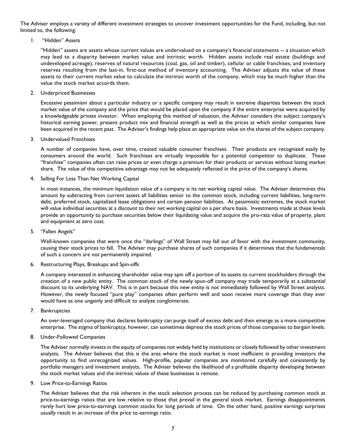The Adviser employs a variety of different investment strategies to uncover investment opportunities for the Fund, including, but not limited to, the following:

1. "Hidden" Assets

"Hidden" assets are assets whose current values are undervalued on a company's financial statements -- a situation which may lead to a disparity between market value and intrinsic worth. Hidden assets include real estate (buildings and undeveloped acreage), reserves of natural resources (coal, gas, oil and timber), cellular or cable franchises, and inventory reserves resulting from the last-in, first-out method of inventory accounting. The Adviser adjusts the value of these assets to their current market value to calculate the intrinsic worth of the company, which may be much higher than the value the stock market accords them.

2. Underpriced Businesses

Excessive pessimism about a particular industry or a specific company may result in extreme disparities between the stock market value of the company and the price that would be placed upon the company if the entire enterprise were acquired by a knowledgeable private investor. When employing this method of valuation, the Adviser considers the subject company's historical earning power, present product mix and financial strength as well as the prices at which similar companies have been acquired in the recent past. The Adviser's findings help place an appropriate value on the shares of the subject company.

3. Undervalued Franchises

A number of companies have, over time, created valuable consumer franchises. Their products are recognized easily by consumers around the world. Such franchises are virtually impossible for a potential competitor to duplicate. These "franchise" companies often can raise prices or even charge a premium for their products or services without losing market share. The value of this competitive advantage may not be adequately reflected in the price of the company's shares.

4. Selling For Less Than Net Working Capital

In most instances, the minimum liquidation value of a company is its net working capital value. The Adviser determines this amount by subtracting from current assets all liabilities senior to the common stock, including current liabilities, long-term debt, preferred stock, capitalized lease obligations and certain pension liabilities. At pessimistic extremes, the stock market will value individual securities at a discount to their net working capital on a per share basis. Investments made at these levels provide an opportunity to purchase securities below their liquidating value and acquire the pro-rata value of property, plant and equipment at zero cost.

5. "Fallen Angels"

Well-known companies that were once the "darlings" of Wall Street may fall out of favor with the investment community, causing their stock prices to fall. The Adviser may purchase shares of such companies if it determines that the fundamentals of such a concern are not permanently impaired.

6. Restructuring Plays, Breakups and Spin-offs

A company interested in enhancing shareholder value may spin off a portion of its assets to current stockholders through the creation of a new public entity. The common stock of the newly spun-off company may trade temporarily at a substantial discount to its underlying NAV. This is in part because this new entity is not immediately followed by Wall Street analysts. However, the newly focused "pure play" companies often perform well and soon receive more coverage than they ever would have as one ungainly and difficult to analyze conglomerate.

7. Bankruptcies

An over-leveraged company that declares bankruptcy can purge itself of excess debt and then emerge as a more competitive enterprise. The stigma of bankruptcy, however, can sometimes depress the stock prices of those companies to bargain levels.

8. Under-Followed Companies

The Adviser normally invests in the equity of companies not widely held by institutions or closely followed by other investment analysts. The Adviser believes that this is the area where the stock market is most inefficient in providing investors the opportunity to find unrecognized values. High-profile, popular companies are monitored carefully and consistently by portfolio managers and investment analysts. The Adviser believes the likelihood of a profitable disparity developing between the stock market values and the intrinsic values of these businesses is remote.

9. Low Price-to-Earnings Ratios

The Adviser believes that the risk inherent in the stock selection process can be reduced by purchasing common stock at price-to-earnings ratios that are low relative to those that prevail in the general stock market. Earnings disappointments rarely hurt low price-to-earnings common stocks for long periods of time. On the other hand, positive earnings surprises usually result in an increase of the price to earnings ratio.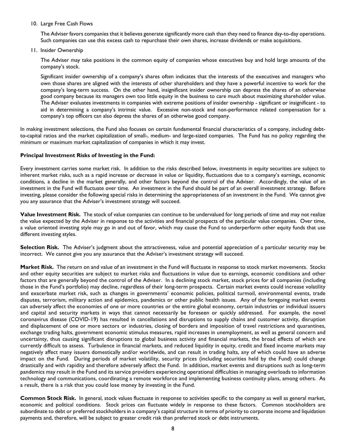#### 10. Large Free Cash Flows

The Adviser favors companies that it believes generate significantly more cash than they need to finance day-to-day operations. Such companies can use this excess cash to repurchase their own shares, increase dividends or make acquisitions.

#### 11. Insider Ownership

The Adviser may take positions in the common equity of companies whose executives buy and hold large amounts of the company's stock.

Significant insider ownership of a company's shares often indicates that the interests of the executives and managers who own those shares are aligned with the interests of other shareholders and they have a powerful incentive to work for the company's long-term success. On the other hand, insignificant insider ownership can depress the shares of an otherwise good company because its managers own too little equity in the business to care much about maximizing shareholder value. The Adviser evaluates investments in companies with extreme positions of insider ownership - significant or insignificant - to aid in determining a company's intrinsic value. Excessive non-stock and non-performance related compensation for a company's top officers can also depress the shares of an otherwise good company.

In making investment selections, the Fund also focuses on certain fundamental financial characteristics of a company, including debtto-capital ratios and the market capitalization of small-, medium- and large-sized companies. The Fund has no policy regarding the minimum or maximum market capitalization of companies in which it may invest.

#### <span id="page-9-0"></span>**Principal Investment Risks of Investing in the Fund:**

Every investment carries some market risk. In addition to the risks described below, investments in equity securities are subject to inherent market risks, such as a rapid increase or decrease in value or liquidity, fluctuations due to a company's earnings, economic conditions, a decline in the market generally, and other factors beyond the control of the Adviser. Accordingly, the value of an investment in the Fund will fluctuate over time. An investment in the Fund should be part of an overall investment strategy. Before investing, please consider the following special risks in determining the appropriateness of an investment in the Fund. We cannot give you any assurance that the Adviser's investment strategy will succeed.

**Value Investment Risk.** The stock of value companies can continue to be undervalued for long periods of time and may not realize the value expected by the Adviser in response to the activities and financial prospects of the particular value companies. Over time, a value oriented investing style may go in and out of favor, which may cause the Fund to underperform other equity funds that use different investing styles.

Selection Risk. The Adviser's judgment about the attractiveness, value and potential appreciation of a particular security may be incorrect. We cannot give you any assurance that the Adviser's investment strategy will succeed.

**Market Risk.** The return on and value of an investment in the Fund will fluctuate in response to stock market movements. Stocks and other equity securities are subject to market risks and fluctuations in value due to earnings, economic conditions and other factors that are generally beyond the control of the Adviser. In a declining stock market, stock prices for all companies (including those in the Fund's portfolio) may decline, regardless of their long-term prospects. Certain market events could increase volatility and exacerbate market risk, such as changes in governments' economic policies, political turmoil, environmental events, trade disputes, terrorism, military action and epidemics, pandemics or other public health issues. Any of the foregoing market events can adversely affect the economies of one or more countries or the entire global economy, certain industries or individual issuers and capital and security markets in ways that cannot necessarily be foreseen or quickly addressed. For example, the novel coronavirus disease (COVID-19) has resulted in cancellations and disruptions to supply chains and customer activity, disruption and displacement of one or more sectors or industries, closing of borders and imposition of travel restrictions and quarantines, exchange trading halts, government economic stimulus measures, rapid increases in unemployment, as well as general concern and uncertainty, thus causing significant disruptions to global business activity and financial markets, the broad effects of which are currently difficult to assess. Turbulence in financial markets, and reduced liquidity in equity, credit and fixed income markets may negatively affect many issuers domestically and/or worldwide, and can result in trading halts, any of which could have an adverse impact on the Fund. During periods of market volatility, security prices (including securities held by the Fund) could change drastically and with rapidity and therefore adversely affect the Fund. In addition, market events and disruptions such as long-term pandemics may result in the Fund and its service providers experiencing operational difficulties in managing overloads to information technology and communications, coordinating a remote workforce and implementing business continuity plans, among others. As a result, there is a risk that you could lose money by investing in the Fund.

**Common Stock Risk.** In general, stock values fluctuate in response to activities specific to the company as well as general market, economic and political conditions. Stock prices can fluctuate widely in response to these factors. Common stockholders are subordinate to debt or preferred stockholders in a company's capital structure in terms of priority to corporate income and liquidation payments and, therefore, will be subject to greater credit risk than preferred stock or debt instruments.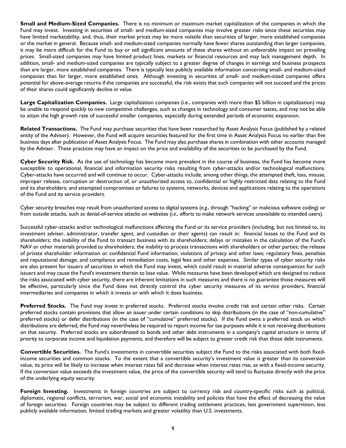**Small and Medium-Sized Companies.** There is no minimum or maximum market capitalization of the companies in which the Fund may invest. Investing in securities of small- and medium-sized companies may involve greater risks since these securities may have limited marketability, and, thus, their market prices may be more volatile than securities of larger, more established companies or the market in general. Because small- and medium-sized companies normally have fewer shares outstanding than larger companies, it may be more difficult for the Fund to buy or sell significant amounts of these shares without an unfavorable impact on prevailing prices. Small-sized companies may have limited product lines, markets or financial resources and may lack management depth. In addition, small- and medium-sized companies are typically subject to a greater degree of changes in earnings and business prospects than are larger, more established companies. There is typically less publicly available information concerning small- and medium-sized companies than for larger, more established ones. Although investing in securities of small- and medium-sized companies offers potential for above-average returns if the companies are successful, the risk exists that such companies will not succeed and the prices of their shares could significantly decline in value.

**Large Capitalization Companies.** Large capitalization companies (i.e., companies with more than \$5 billion in capitalization) may be unable to respond quickly to new competitive challenges, such as changes in technology and consumer tastes, and may not be able to attain the high growth rate of successful smaller companies, especially during extended periods of economic expansion.

**Related Transactions.** The Fund may purchase securities that have been researched by Asset Analysis Focus (published by a related entity of the Adviser). However, the Fund will acquire securities featured for the first time in Asset Analysis Focus no earlier than five business days after publication of Asset Analysis Focus. The Fund may also purchase shares in combination with other accounts managed by the Adviser. These practices may have an impact on the price and availability of the securities to be purchased by the Fund.

**Cyber Security Risk.** As the use of technology has become more prevalent in the course of business, the Fund has become more susceptible to operational, financial and information security risks resulting from cyber-attacks and/or technological malfunctions. Cyber-attacks have occurred and will continue to occur. Cyber-attacks include, among other things, the attempted theft, loss, misuse, improper release, corruption or destruction of, or unauthorized access to, confidential or highly restricted data relating to the Fund and its shareholders; and attempted compromises or failures to systems, networks, devices and applications relating to the operations of the Fund and its service providers.

Cyber security breaches may result from unauthorized access to digital systems (*e.g.*, through "hacking" or malicious software coding) or from outside attacks, such as denial-of-service attacks on websites (*i.e*., efforts to make network services unavailable to intended users).

Successful cyber-attacks and/or technological malfunctions affecting the Fund or its service providers (including, but not limited to, its investment adviser, administrator, transfer agent, and custodian or their agents) can result in: financial losses to the Fund and its shareholders; the inability of the Fund to transact business with its shareholders; delays or mistakes in the calculation of the Fund's NAV or other materials provided to shareholders; the inability to process transactions with shareholders or other parties; the release of private shareholder information or confidential Fund information; violations of privacy and other laws; regulatory fines, penalties and reputational damage; and compliance and remediation costs, legal fees and other expenses. Similar types of cyber security risks are also present for issuers of securities in which the Fund may invest, which could result in material adverse consequences for such issuers and may cause the Fund's investment therein to lose value. While measures have been developed which are designed to reduce the risks associated with cyber security, there are inherent limitations in such measures and there is no guarantee those measures will be effective, particularly since the Fund does not directly control the cyber security measures of its service providers, financial intermediaries and companies in which it invests or with which it does business.

**Preferred Stocks.** The Fund may invest in preferred stocks. Preferred stocks involve credit risk and certain other risks. Certain preferred stocks contain provisions that allow an issuer under certain conditions to skip distributions (in the case of "non-cumulative" preferred stocks) or defer distributions (in the case of "cumulative" preferred stocks). If the Fund owns a preferred stock on which distributions are deferred, the Fund may nevertheless be required to report income for tax purposes while it is not receiving distributions on that security. Preferred stocks are subordinated to bonds and other debt instruments in a company's capital structure in terms of priority to corporate income and liquidation payments, and therefore will be subject to greater credit risk than those debt instruments.

**Convertible Securities.** The Fund's investments in convertible securities subject the Fund to the risks associated with both fixedincome securities and common stocks. To the extent that a convertible security's investment value is greater than its conversion value, its price will be likely to increase when interest rates fall and decrease when interest rates rise, as with a fixed-income security. If the conversion value exceeds the investment value, the price of the convertible security will tend to fluctuate directly with the price of the underlying equity security.

**Foreign Investing.** Investments in foreign countries are subject to currency risk and country-specific risks such as political, diplomatic, regional conflicts, terrorism, war, social and economic instability and policies that have the effect of decreasing the value of foreign securities. Foreign countries may be subject to different trading settlement practices, less government supervision, less publicly available information, limited trading markets and greater volatility than U.S. investments.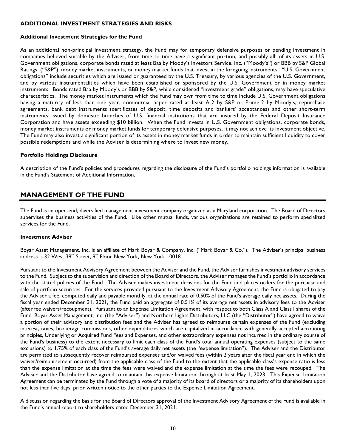#### **ADDITIONAL INVESTMENT STRATEGIES AND RISKS**

### **Additional Investment Strategies for the Fund**

As an additional non-principal investment strategy, the Fund may for temporary defensive purposes or pending investment in companies believed suitable by the Adviser, from time to time have a significant portion, and possibly all, of its assets in U.S. Government obligations, corporate bonds rated at least Baa by Moody's Investors Service, Inc. ("Moody's") or BBB by S&P Global Ratings ("S&P"), money market instruments, or money market funds that invest in the foregoing instruments. "U.S. Government obligations" include securities which are issued or guaranteed by the U.S. Treasury, by various agencies of the U.S. Government, and by various instrumentalities which have been established or sponsored by the U.S. Government or in money market instruments. Bonds rated Baa by Moody's or BBB by S&P, while considered "investment grade" obligations, may have speculative characteristics. The money market instruments which the Fund may own from time to time include U.S. Government obligations having a maturity of less than one year, commercial paper rated at least A-2 by S&P or Prime-2 by Moody's, repurchase agreements, bank debt instruments (certificates of deposit, time deposits and bankers' acceptances) and other short-term instruments issued by domestic branches of U.S. financial institutions that are insured by the Federal Deposit Insurance Corporation and have assets exceeding \$10 billion. When the Fund invests in U.S. Government obligations, corporate bonds, money market instruments or money market funds for temporary defensive purposes, it may not achieve its investment objective. The Fund may also invest a significant portion of its assets in money market funds in order to maintain sufficient liquidity to cover possible redemptions and while the Adviser is determining where to invest new money.

#### **Portfolio Holdings Disclosure**

A description of the Fund's policies and procedures regarding the disclosure of the Fund's portfolio holdings information is available in the Fund's Statement of Additional Information.

## <span id="page-11-0"></span>**MANAGEMENT OF THE FUND**

The Fund is an open-end, diversified management investment company organized as a Maryland corporation. The Board of Directors supervises the business activities of the Fund. Like other mutual funds, various organizations are retained to perform specialized services for the Fund.

#### <span id="page-11-1"></span>**Investment Adviser**

Boyar Asset Management, Inc. is an affiliate of Mark Boyar & Company, Inc. ("Mark Boyar & Co."). The Adviser's principal business address is 32 West  $39<sup>th</sup>$  Street,  $9<sup>th</sup>$  Floor New York, New York 10018.

Pursuant to the Investment Advisory Agreement between the Adviser and the Fund, the Adviser furnishes investment advisory services to the Fund. Subject to the supervision and direction of the Board of Directors, the Adviser manages the Fund's portfolio in accordance with the stated policies of the Fund. The Adviser makes investment decisions for the Fund and places orders for the purchase and sale of portfolio securities. For the services provided pursuant to the Investment Advisory Agreement, the Fund is obligated to pay the Adviser a fee, computed daily and payable monthly, at the annual rate of 0.50% of the Fund's average daily net assets. During the fiscal year ended December 31, 2021, the Fund paid an aggregate of 0.51% of its average net assets in advisory fees to the Adviser (after fee waivers/recoupment). Pursuant to an Expense Limitation Agreement, with respect to both Class A and Class I shares of the Fund, Boyar Asset Management, Inc. (the "Adviser") and Northern Lights Distributors, LLC (the "Distributor") have agreed to waive a portion of their advisory and distribution fees and the Adviser has agreed to reimburse certain expenses of the Fund (excluding interest, taxes, brokerage commissions, other expenditures which are capitalized in accordance with generally accepted accounting principles, Underlying or Acquired Fund Fees and Expenses, and other extraordinary expenses not incurred in the ordinary course of the Fund's business) to the extent necessary to limit each class of the Fund's total annual operating expenses (subject to the same exclusions) to 1.75% of each class of the Fund's average daily net assets (the "expense limitation"). The Adviser and the Distributor are permitted to subsequently recover reimbursed expenses and/or waived fees (within 2 years after the fiscal year end in which the waiver/reimbursement occurred) from the applicable class of the Fund to the extent that the applicable class's expense ratio is less than the expense limitation at the time the fees were waived and the expense limitation at the time the fees were recouped. The Adviser and the Distributor have agreed to maintain this expense limitation through at least May 1, 2023. This Expense Limitation Agreement can be terminated by the Fund through a vote of a majority of its board of directors or a majority of its shareholders upon not less than five days' prior written notice to the other parties to the Expense Limitation Agreement.

A discussion regarding the basis for the Board of Directors approval of the Investment Advisory Agreement of the Fund is available in the Fund's annual report to shareholders dated December 31, 2021.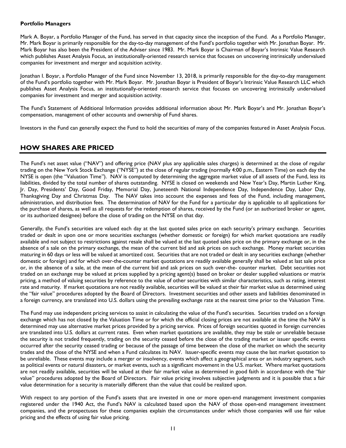#### <span id="page-12-0"></span>**Portfolio Managers**

Mark A. Boyar, a Portfolio Manager of the Fund, has served in that capacity since the inception of the Fund. As a Portfolio Manager, Mr. Mark Boyar is primarily responsible for the day-to-day management of the Fund's portfolio together with Mr. Jonathan Boyar. Mr. Mark Boyar has also been the President of the Adviser since 1983. Mr. Mark Boyar is Chairman of Boyar's Intrinsic Value Research which publishes Asset Analysis Focus, an institutionally-oriented research service that focuses on uncovering intrinsically undervalued companies for investment and merger and acquisition activity.

Jonathan I. Boyar, a Portfolio Manager of the Fund since November 13, 2018, is primarily responsible for the day-to-day management of the Fund's portfolio together with Mr. Mark Boyar. Mr. Jonathan Boyar is President of Boyar's Intrinsic Value Research LLC which publishes Asset Analysis Focus, an institutionally-oriented research service that focuses on uncovering intrinsically undervalued companies for investment and merger and acquisition activity.

The Fund's Statement of Additional Information provides additional information about Mr. Mark Boyar's and Mr. Jonathan Boyar's compensation, management of other accounts and ownership of Fund shares.

Investors in the Fund can generally expect the Fund to hold the securities of many of the companies featured in Asset Analysis Focus.

## <span id="page-12-1"></span>**HOW SHARES ARE PRICED**

The Fund's net asset value ("NAV") and offering price (NAV plus any applicable sales charges) is determined at the close of regular trading on the New York Stock Exchange ("NYSE") at the close of regular trading (normally 4:00 p.m., Eastern Time) on each day the NYSE is open (the "Valuation Time"). NAV is computed by determining the aggregate market value of all assets of the Fund, less its liabilities, divided by the total number of shares outstanding. NYSE is closed on weekends and New Year's Day, Martin Luther King, Jr. Day, Presidents' Day, Good Friday, Memorial Day, Juneteenth National Independence Day, Independence Day, Labor Day, Thanksgiving Day and Christmas Day. The NAV takes into account the expenses and fees of the Fund, including management, administration, and distribution fees. The determination of NAV for the Fund for a particular day is applicable to all applications for the purchase of shares, as well as all requests for the redemption of shares, received by the Fund (or an authorized broker or agent, or its authorized designee) before the close of trading on the NYSE on that day.

Generally, the Fund's securities are valued each day at the last quoted sales price on each security's primary exchange. Securities traded or dealt in upon one or more securities exchanges (whether domestic or foreign) for which market quotations are readily available and not subject to restrictions against resale shall be valued at the last quoted sales price on the primary exchange or, in the absence of a sale on the primary exchange, the mean of the current bid and ask prices on such exchange. Money market securities maturing in 60 days or less will be valued at amortized cost. Securities that are not traded or dealt in any securities exchange (whether domestic or foreign) and for which over-the-counter market quotations are readily available generally shall be valued at last sale price or, in the absence of a sale, at the mean of the current bid and ask prices on such over-the- counter market. Debt securities not traded on an exchange may be valued at prices supplied by a pricing agent(s) based on broker or dealer supplied valuations or matrix pricing, a method of valuing securities by reference to the value of other securities with similar characteristics, such as rating, interest rate and maturity. If market quotations are not readily available, securities will be valued at their fair market value as determined using the "fair value" procedures adopted by the Board of Directors. Investment securities and other assets and liabilities denominated in a foreign currency, are translated into U.S. dollars using the prevailing exchange rate at the nearest time prior to the Valuation Time.

The Fund may use independent pricing services to assist in calculating the value of the Fund's securities. Securities traded on a foreign exchange which has not closed by the Valuation Time or for which the official closing prices are not available at the time the NAV is determined may use alternative market prices provided by a pricing service. Prices of foreign securities quoted in foreign currencies are translated into U.S. dollars at current rates. Even when market quotations are available, they may be stale or unreliable because the security is not traded frequently, trading on the security ceased before the close of the trading market or issuer specific events occurred after the security ceased trading or because of the passage of time between the close of the market on which the security trades and the close of the NYSE and when a Fund calculates its NAV. Issuer-specific events may cause the last market quotation to be unreliable. These events may include a merger or insolvency, events which affect a geographical area or an industry segment, such as political events or natural disasters, or market events, such as a significant movement in the U.S. market. Where market quotations are not readily available, securities will be valued at their fair market value as determined in good faith in accordance with the "fair value" procedures adopted by the Board of Directors. Fair value pricing involves subjective judgments and it is possible that a fair value determination for a security is materially different than the value that could be realized upon.

With respect to any portion of the Fund's assets that are invested in one or more open-end management investment companies registered under the 1940 Act, the Fund's NAV is calculated based upon the NAV of those open-end management investment companies, and the prospectuses for these companies explain the circumstances under which those companies will use fair value pricing and the effects of using fair value pricing.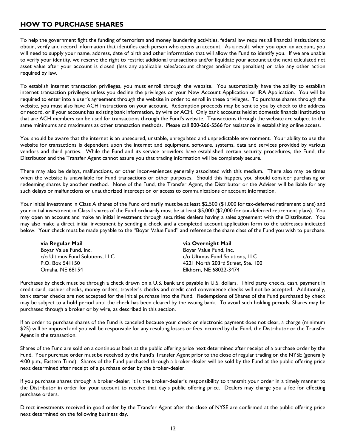## <span id="page-13-0"></span>**HOW TO PURCHASE SHARES**

To help the government fight the funding of terrorism and money laundering activities, federal law requires all financial institutions to obtain, verify and record information that identifies each person who opens an account. As a result, when you open an account, you will need to supply your name, address, date of birth and other information that will allow the Fund to identify you. If we are unable to verify your identity, we reserve the right to restrict additional transactions and/or liquidate your account at the next calculated net asset value after your account is closed (less any applicable sales/account charges and/or tax penalties) or take any other action required by law.

To establish internet transaction privileges, you must enroll through the website. You automatically have the ability to establish internet transaction privileges unless you decline the privileges on your New Account Application or IRA Application. You will be required to enter into a user's agreement through the website in order to enroll in these privileges. To purchase shares through the website, you must also have ACH instructions on your account. Redemption proceeds may be sent to you by check to the address or record, or if your account has existing bank information, by wire or ACH. Only bank accounts held at domestic financial institutions that are ACH members can be used for transactions through the Fund's website. Transactions through the website are subject to the same minimums and maximums as other transaction methods. Please call 800-266-5566 for assistance in establishing online access.

You should be aware that the internet is an unsecured, unstable, unregulated and unpredictable environment. Your ability to use the website for transactions is dependent upon the internet and equipment, software, systems, data and services provided by various vendors and third parties. While the Fund and its service providers have established certain security procedures, the Fund, the Distributor and the Transfer Agent cannot assure you that trading information will be completely secure.

There may also be delays, malfunctions, or other inconveniences generally associated with this medium. There also may be times when the website is unavailable for Fund transactions or other purposes. Should this happen, you should consider purchasing or redeeming shares by another method. None of the Fund, the Transfer Agent, the Distributor or the Adviser will be liable for any such delays or malfunctions or unauthorized interception or access to communications or account information.

Your initial investment in Class A shares of the Fund ordinarily must be at least \$2,500 (\$1,000 for tax-deferred retirement plans) and your initial investment in Class I shares of the Fund ordinarily must be at least \$5,000 (\$2,000 for tax-deferred retirement plans). You may open an account and make an initial investment through securities dealers having a sales agreement with the Distributor. You may also make a direct initial investment by sending a check and a completed account application form to the addresses indicated below. Your check must be made payable to the "Boyar Value Fund" and reference the share class of the Fund you wish to purchase.

| via Regular Mail                | via Overnight Mail                |
|---------------------------------|-----------------------------------|
| Boyar Value Fund, Inc.          | Boyar Value Fund, Inc.            |
| c/o Ultimus Fund Solutions, LLC | c/o Ultimus Fund Solutions, LLC   |
| P.O. Box 541150                 | 4221 North 203rd Street. Ste. 100 |
| Omaha, NE 68154                 | Elkhorn, NE 68022-3474            |

Purchases by check must be through a check drawn on a U.S. bank and payable in U.S. dollars. Third party checks, cash, payment in credit card, cashier checks, money orders, traveler's checks and credit card convenience checks will not be accepted. Additionally, bank starter checks are not accepted for the initial purchase into the Fund. Redemptions of Shares of the Fund purchased by check may be subject to a hold period until the check has been cleared by the issuing bank. To avoid such holding periods, Shares may be purchased through a broker or by wire, as described in this section.

If an order to purchase shares of the Fund is canceled because your check or electronic payment does not clear, a charge (minimum \$25) will be imposed and you will be responsible for any resulting losses or fees incurred by the Fund, the Distributor or the Transfer Agent in the transaction.

Shares of the Fund are sold on a continuous basis at the public offering price next determined after receipt of a purchase order by the Fund. Your purchase order must be received by the Fund's Transfer Agent prior to the close of regular trading on the NYSE (generally 4:00 p.m., Eastern Time). Shares of the Fund purchased through a broker-dealer will be sold by the Fund at the public offering price next determined after receipt of a purchase order by the broker-dealer.

If you purchase shares through a broker-dealer, it is the broker-dealer's responsibility to transmit your order in a timely manner to the Distributor in order for your account to receive that day's public offering price. Dealers may charge you a fee for effecting purchase orders.

Direct investments received in good order by the Transfer Agent after the close of NYSE are confirmed at the public offering price next determined on the following business day.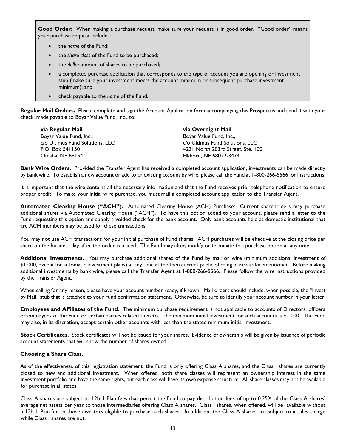Good Order: When making a purchase request, make sure your request is in good order. "Good order" means your purchase request includes:

- the *name* of the Fund;
- the *share class* of the Fund to be purchased;
- the *dollar* amount of shares to be purchased;
- a completed purchase application that corresponds to the type of account you are opening or investment stub (make sure your investment meets the account minimum or subsequent purchase investment minimum); and
- check payable to the *name* of the Fund.

**Regular Mail Orders.** Please complete and sign the Account Application form accompanying this Prospectus and send it with your check, made payable to Boyar Value Fund, Inc., to:

| via Regular Mail                | via Overnight Mail                |
|---------------------------------|-----------------------------------|
| Boyar Value Fund, Inc.,         | Boyar Value Fund, Inc.,           |
| c/o Ultimus Fund Solutions, LLC | c/o Ultimus Fund Solutions, LLC   |
| P.O. Box 541150                 | 4221 North 203rd Street, Ste. 100 |
| Omaha, NE 68154                 | Elkhorn, NE 68022-3474            |

**Bank Wire Orders.** Provided the Transfer Agent has received a completed account application, investments can be made directly by bank wire. To establish a new account or add to an existing account by wire, please call the Fund at 1-800-266-5566 for instructions.

It is important that the wire contains all the necessary information and that the Fund receives prior telephone notification to ensure proper credit. To make your initial wire purchase, you must mail a completed account application to the Transfer Agent.

**Automated Clearing House ("ACH").** Automated Clearing House (ACH) Purchase: Current shareholders may purchase additional shares via Automated Clearing House ("ACH"). To have this option added to your account, please send a letter to the Fund requesting this option and supply a voided check for the bank account. Only bank accounts held at domestic institutional that are ACH members may be used for these transactions.

You may not use ACH transactions for your initial purchase of Fund shares. ACH purchases will be effective at the closing price per share on the business day after the order is placed. The Fund may alter, modify or terminate this purchase option at any time.

**Additional Investments.** You may purchase additional shares of the Fund by mail or wire (minimum additional investment of \$1,000, except for automatic investment plans) at any time at the then current public offering price as aforementioned. Before making additional investments by bank wire, please call the Transfer Agent at 1-800-266-5566. Please follow the wire instructions provided by the Transfer Agent.

When calling for any reason, please have your account number ready, if known. Mail orders should include, when possible, the "Invest by Mail" stub that is attached to your Fund confirmation statement. Otherwise, be sure to identify your account number in your letter.

**Employees and Affiliates of the Fund.** The minimum purchase requirement is not applicable to accounts of Directors, officers or employees of the Fund or certain parties related thereto. The minimum initial investment for such accounts is \$1,000. The Fund may also, in its discretion, accept certain other accounts with less than the stated minimum initial investment.

**Stock Certificates.** Stock certificates will not be issued for your shares. Evidence of ownership will be given by issuance of periodic account statements that will show the number of shares owned.

#### **Choosing a Share Class.**

As of the effectiveness of this registration statement, the Fund is only offering Class A shares, and the Class I shares are currently closed to new and additional investment. When offered, both share classes will represent an ownership interest in the same investment portfolio and have the same rights, but each class will have its own expense structure. All share classes may not be available for purchase in all states.

Class A shares are subject to 12b-1 Plan fees that permit the Fund to pay distribution fees of up to 0.25% of the Class A shares' average net assets per year to those intermediaries offering Class A shares. Class I shares, when offered, will be available without a 12b-1 Plan fee to those investors eligible to purchase such shares. In addition, the Class A shares are subject to a sales charge while Class I shares are not.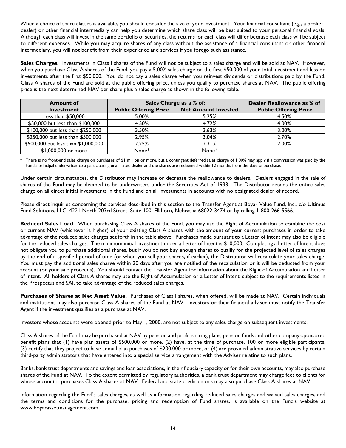When a choice of share classes is available, you should consider the size of your investment. Your financial consultant (e.g., a brokerdealer) or other financial intermediary can help you determine which share class will be best suited to your personal financial goals. Although each class will invest in the same portfolio of securities, the returns for each class will differ because each class will be subject to different expenses. While you may acquire shares of any class without the assistance of a financial consultant or other financial intermediary, you will not benefit from their experience and services if you forego such assistance.

Sales Charges. Investments in Class I shares of the Fund will not be subject to a sales charge and will be sold at NAV. However, when you purchase Class A shares of the Fund, you pay a 5.00% sales charge on the first \$50,000 of your total investment and less on investments after the first \$50,000. You do not pay a sales charge when you reinvest dividends or distributions paid by the Fund. Class A shares of the Fund are sold at the public offering price, unless you qualify to purchase shares at NAV. The public offering price is the next determined NAV per share plus a sales charge as shown in the following table.

| <b>Amount of</b>                    | Sales Charge as a % of:      | Dealer Reallowance as % of |                              |  |
|-------------------------------------|------------------------------|----------------------------|------------------------------|--|
| Investment                          | <b>Public Offering Price</b> | <b>Net Amount Invested</b> | <b>Public Offering Price</b> |  |
| Less than $$50,000$                 | 5.00%                        | 5.25%                      | 4.50%                        |  |
| \$50,000 but less than \$100,000    | 4.50%                        | 4.72%                      | 4.00%                        |  |
| \$100,000 but less than \$250,000   | 3.50%                        | 3.63%                      | 3.00%                        |  |
| \$250,000 but less than \$500,000   | 2.95%                        | 3.04%                      | 2.70%                        |  |
| \$500,000 but less than \$1,000,000 | 2.25%                        | 2.31%                      | 2.00%                        |  |
| \$1,000,000 or more                 | None*                        | None*                      |                              |  |

There is no front-end sales charge on purchases of \$1 million or more, but a contingent deferred sales charge of 1.00% may apply if a commission was paid by the Fund's principal underwriter to a participating unaffiliated dealer and the shares are redeemed within 12 months from the date of purchase.

Under certain circumstances, the Distributor may increase or decrease the reallowance to dealers. Dealers engaged in the sale of shares of the Fund may be deemed to be underwriters under the Securities Act of 1933. The Distributor retains the entire sales charge on all direct initial investments in the Fund and on all investments in accounts with no designated dealer of record.

Please direct inquiries concerning the services described in this section to the Transfer Agent at Boyar Value Fund, Inc., c/o Ultimus Fund Solutions, LLC, 4221 North 203rd Street, Suite 100, Elkhorn, Nebraska 68022-3474 or by calling 1-800-266-5566.

**Reduced Sales Load.** When purchasing Class A shares of the Fund, you may use the Right of Accumulation to combine the cost or current NAV (whichever is higher) of your existing Class A shares with the amount of your current purchases in order to take advantage of the reduced sales charges set forth in the table above. Purchases made pursuant to a Letter of Intent may also be eligible for the reduced sales charges. The minimum initial investment under a Letter of Intent is \$10,000. Completing a Letter of Intent does not obligate you to purchase additional shares, but if you do not buy enough shares to qualify for the projected level of sales charges by the end of a specified period of time (or when you sell your shares, if earlier), the Distributor will recalculate your sales charge. You must pay the additional sales charge within 20 days after you are notified of the recalculation or it will be deducted from your account (or your sale proceeds). You should contact the Transfer Agent for information about the Right of Accumulation and Letter of Intent. All holders of Class A shares may use the Right of Accumulation or a Letter of Intent, subject to the requirements listed in the Prospectus and SAI, to take advantage of the reduced sales charges.

**Purchases of Shares at Net Asset Value.** Purchases of Class I shares, when offered, will be made at NAV. Certain individuals and institutions may also purchase Class A shares of the Fund at NAV. Investors or their financial adviser must notify the Transfer Agent if the investment qualifies as a purchase at NAV.

Investors whose accounts were opened prior to May 1, 2000, are not subject to any sales charge on subsequent investments.

Class A shares of the Fund may be purchased at NAV by pension and profit sharing plans, pension funds and other company-sponsored benefit plans that (1) have plan assets of \$500,000 or more, (2) have, at the time of purchase, 100 or more eligible participants, (3) certify that they project to have annual plan purchases of \$200,000 or more, or (4) are provided administrative services by certain third-party administrators that have entered into a special service arrangement with the Adviser relating to such plans.

Banks, bank trust departments and savings and loan associations, in their fiduciary capacity or for their own accounts, may also purchase shares of the Fund at NAV. To the extent permitted by regulatory authorities, a bank trust department may charge fees to clients for whose account it purchases Class A shares at NAV. Federal and state credit unions may also purchase Class A shares at NAV.

Information regarding the Fund's sales charges, as well as information regarding reduced sales charges and waived sales charges, and the terms and conditions for the purchase, pricing and redemption of Fund shares, is available on the Fund's website at [www.boyarassetmanagement.com.](http://www.boyarassetmanagement.com/)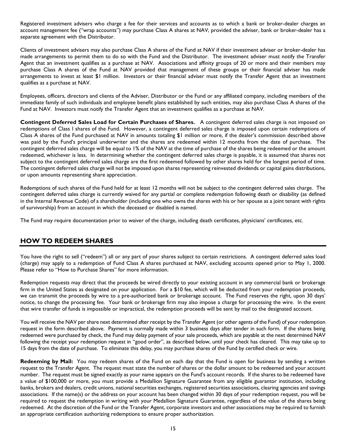Registered investment advisers who charge a fee for their services and accounts as to which a bank or broker-dealer charges an account management fee ("wrap accounts") may purchase Class A shares at NAV, provided the adviser, bank or broker-dealer has a separate agreement with the Distributor.

Clients of investment advisers may also purchase Class A shares of the Fund at NAV if their investment adviser or broker-dealer has made arrangements to permit them to do so with the Fund and the Distributor. The investment adviser must notify the Transfer Agent that an investment qualifies as a purchase at NAV. Associations and affinity groups of 20 or more and their members may purchase Class A shares of the Fund at NAV provided that management of these groups or their financial adviser has made arrangements to invest at least \$1 million. Investors or their financial adviser must notify the Transfer Agent that an investment qualifies as a purchase at NAV.

Employees, officers, directors and clients of the Adviser, Distributor or the Fund or any affiliated company, including members of the immediate family of such individuals and employee benefit plans established by such entities, may also purchase Class A shares of the Fund at NAV. Investors must notify the Transfer Agent that an investment qualifies as a purchase at NAV.

**Contingent Deferred Sales Load for Certain Purchases of Shares.** A contingent deferred sales charge is not imposed on redemptions of Class I shares of the Fund. However, a contingent deferred sales charge is imposed upon certain redemptions of Class A shares of the Fund purchased at NAV in amounts totaling \$1 million or more, if the dealer's commission described above was paid by the Fund's principal underwriter and the shares are redeemed within 12 months from the date of purchase. The contingent deferred sales charge will be equal to 1% of the NAV at the time of purchase of the shares being redeemed or the amount redeemed, whichever is less. In determining whether the contingent deferred sales charge is payable, it is assumed that shares not subject to the contingent deferred sales charge are the first redeemed followed by other shares held for the longest period of time. The contingent deferred sales charge will not be imposed upon shares representing reinvested dividends or capital gains distributions, or upon amounts representing share appreciation.

Redemptions of such shares of the Fund held for at least 12 months will not be subject to the contingent deferred sales charge. The contingent deferred sales charge is currently waived for any partial or complete redemption following death or disability (as defined in the Internal Revenue Code) of a shareholder (including one who owns the shares with his or her spouse as a joint tenant with rights of survivorship) from an account in which the deceased or disabled is named.

The Fund may require documentation prior to waiver of the charge, including death certificates, physicians' certificates, etc.

## <span id="page-16-0"></span>**HOW TO REDEEM SHARES**

You have the right to sell ("redeem") all or any part of your shares subject to certain restrictions. A contingent deferred sales load (charge) may apply to a redemption of Fund Class A shares purchased at NAV, excluding accounts opened prior to May 1, 2000. Please refer to "How to Purchase Shares" for more information.

Redemption requests may direct that the proceeds be wired directly to your existing account in any commercial bank or brokerage firm in the United States as designated on your application. For a \$10 fee, which will be deducted from your redemption proceeds, we can transmit the proceeds by wire to a pre-authorized bank or brokerage account. The Fund reserves the right, upon 30 days' notice, to change the processing fee. Your bank or brokerage firm may also impose a charge for processing the wire. In the event that wire transfer of funds is impossible or impractical, the redemption proceeds will be sent by mail to the designated account.

You will receive the NAV per share next determined after receipt by the Transfer Agent (or other agents of the Fund) of your redemption request in the form described above. Payment is normally made within 3 business days after tender in such form. If the shares being redeemed were purchased by check, the Fund may delay payment of your sale proceeds, which are payable at the next determined NAV following the receipt your redemption request in "good order", as described below, until your check has cleared. This may take up to 15 days from the date of purchase. To eliminate this delay, you may purchase shares of the Fund by certified check or wire.

**Redeeming by Mail:** You may redeem shares of the Fund on each day that the Fund is open for business by sending a written request to the Transfer Agent. The request must state the number of shares or the dollar amount to be redeemed and your account number. The request must be signed exactly as your name appears on the Fund's account records. If the shares to be redeemed have a value of \$100,000 or more, you must provide a Medallion Signature Guarantee from any eligible guarantor institution, including banks, brokers and dealers, credit unions, national securities exchanges, registered securities associations, clearing agencies and savings associations. If the name(s) or the address on your account has been changed within 30 days of your redemption request, you will be required to request the redemption in writing with your Medallion Signature Guarantee, regardless of the value of the shares being redeemed. At the discretion of the Fund or the Transfer Agent, corporate investors and other associations may be required to furnish an appropriate certification authorizing redemptions to ensure proper authorization.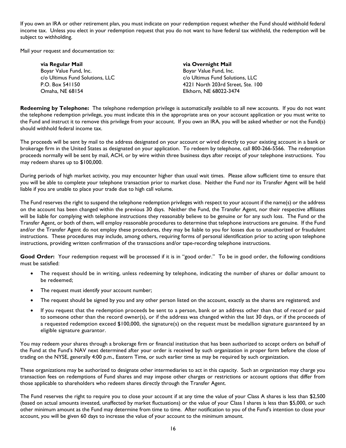If you own an IRA or other retirement plan, you must indicate on your redemption request whether the Fund should withhold federal income tax. Unless you elect in your redemption request that you do not want to have federal tax withheld, the redemption will be subject to withholding.

Mail your request and documentation to:

| via Regular Mail                | via Overnight Mail                |
|---------------------------------|-----------------------------------|
| Boyar Value Fund, Inc.          | Boyar Value Fund, Inc.            |
| c/o Ultimus Fund Solutions, LLC | c/o Ultimus Fund Solutions, LLC   |
| P.O. Box 541150                 | 4221 North 203rd Street, Ste. 100 |
| Omaha, NE 68154                 | Elkhorn, NE 68022-3474            |

**Redeeming by Telephone:** The telephone redemption privilege is automatically available to all new accounts. If you do not want the telephone redemption privilege, you must indicate this in the appropriate area on your account application or you must write to the Fund and instruct it to remove this privilege from your account. If you own an IRA, you will be asked whether or not the Fund(s) should withhold federal income tax.

The proceeds will be sent by mail to the address designated on your account or wired directly to your existing account in a bank or brokerage firm in the United States as designated on your application. To redeem by telephone, call 800-266-5566. The redemption proceeds normally will be sent by mail, ACH, or by wire within three business days after receipt of your telephone instructions. You may redeem shares up to \$100,000.

During periods of high market activity, you may encounter higher than usual wait times. Please allow sufficient time to ensure that you will be able to complete your telephone transaction prior to market close. Neither the Fund nor its Transfer Agent will be held liable if you are unable to place your trade due to high call volume.

The Fund reserves the right to suspend the telephone redemption privileges with respect to your account if the name(s) or the address on the account has been changed within the previous 30 days. Neither the Fund, the Transfer Agent, nor their respective affiliates will be liable for complying with telephone instructions they reasonably believe to be genuine or for any such loss. The Fund or the Transfer Agent, or both of them, will employ reasonable procedures to determine that telephone instructions are genuine. If the Fund and/or the Transfer Agent do not employ these procedures, they may be liable to you for losses due to unauthorized or fraudulent instructions. These procedures may include, among others, requiring forms of personal identification prior to acting upon telephone instructions, providing written confirmation of the transactions and/or tape-recording telephone instructions.

Good Order: Your redemption request will be processed if it is in "good order." To be in good order, the following conditions must be satisfied:

- The request should be in writing, unless redeeming by telephone, indicating the number of shares or dollar amount to be redeemed;
- The request must identify your account number;
- The request should be signed by you and any other person listed on the account, exactly as the shares are registered; and
- If you request that the redemption proceeds be sent to a person, bank or an address other than that of record or paid to someone other than the record owner(s), or if the address was changed within the last 30 days, or if the proceeds of a requested redemption exceed \$100,000, the signature(s) on the request must be medallion signature guaranteed by an eligible signature guarantor.

You may redeem your shares through a brokerage firm or financial institution that has been authorized to accept orders on behalf of the Fund at the Fund's NAV next determined after your order is received by such organization in proper form before the close of trading on the NYSE, generally 4:00 p.m., Eastern Time, or such earlier time as may be required by such organization.

These organizations may be authorized to designate other intermediaries to act in this capacity. Such an organization may charge you transaction fees on redemptions of Fund shares and may impose other charges or restrictions or account options that differ from those applicable to shareholders who redeem shares directly through the Transfer Agent.

The Fund reserves the right to require you to close your account if at any time the value of your Class A shares is less than \$2,500 (based on actual amounts invested, unaffected by market fluctuations) or the value of your Class I shares is less than \$5,000, or such other minimum amount as the Fund may determine from time to time. After notification to you of the Fund's intention to close your account, you will be given 60 days to increase the value of your account to the minimum amount.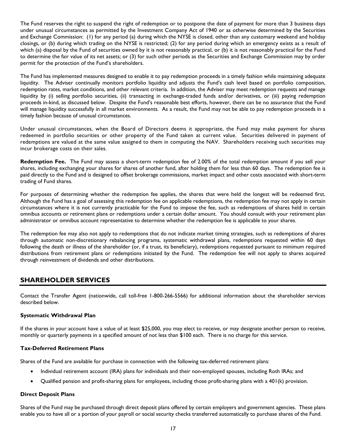The Fund reserves the right to suspend the right of redemption or to postpone the date of payment for more than 3 business days under unusual circumstances as permitted by the Investment Company Act of 1940 or as otherwise determined by the Securities and Exchange Commission: (1) for any period (a) during which the NYSE is closed, other than any customary weekend and holiday closings, or (b) during which trading on the NYSE is restricted; (2) for any period during which an emergency exists as a result of which (a) disposal by the Fund of securities owned by it is not reasonably practical, or (b) it is not reasonably practical for the Fund to determine the fair value of its net assets; or (3) for such other periods as the Securities and Exchange Commission may by order permit for the protection of the Fund's shareholders.

The Fund has implemented measures designed to enable it to pay redemption proceeds in a timely fashion while maintaining adequate liquidity. The Adviser continually monitors portfolio liquidity and adjusts the Fund's cash level based on portfolio composition, redemption rates, market conditions, and other relevant criteria. In addition, the Adviser may meet redemption requests and manage liquidity by (i) selling portfolio securities, (ii) transacting in exchange-traded funds and/or derivatives, or (iii) paying redemption proceeds in-kind, as discussed below. Despite the Fund's reasonable best efforts, however, there can be no assurance that the Fund will manage liquidity successfully in all market environments. As a result, the Fund may not be able to pay redemption proceeds in a timely fashion because of unusual circumstances.

Under unusual circumstances, when the Board of Directors deems it appropriate, the Fund may make payment for shares redeemed in portfolio securities or other property of the Fund taken at current value. Securities delivered in payment of redemptions are valued at the same value assigned to them in computing the NAV. Shareholders receiving such securities may incur brokerage costs on their sales.

**Redemption Fee.** The Fund may assess a short-term redemption fee of 2.00% of the total redemption amount if you sell your shares, including exchanging your shares for shares of another fund, after holding them for less than 60 days. The redemption fee is paid directly to the Fund and is designed to offset brokerage commissions, market impact and other costs associated with short-term trading of Fund shares.

For purposes of determining whether the redemption fee applies, the shares that were held the longest will be redeemed first. Although the Fund has a goal of assessing this redemption fee on applicable redemptions, the redemption fee may not apply in certain circumstances where it is not currently practicable for the Fund to impose the fee, such as redemptions of shares held in certain omnibus accounts or retirement plans or redemptions under a certain dollar amount. You should consult with your retirement plan administrator or omnibus account representative to determine whether the redemption fee is applicable to your shares.

The redemption fee may also not apply to redemptions that do not indicate market timing strategies, such as redemptions of shares through automatic non-discretionary rebalancing programs, systematic withdrawal plans, redemptions requested within 60 days following the death or illness of the shareholder (or, if a trust, its beneficiary), redemptions requested pursuant to minimum required distributions from retirement plans or redemptions initiated by the Fund. The redemption fee will not apply to shares acquired through reinvestment of dividends and other distributions.

## <span id="page-18-0"></span>**SHAREHOLDER SERVICES**

Contact the Transfer Agent (nationwide, call toll-free 1-800-266-5566) for additional information about the shareholder services described below.

#### **Systematic Withdrawal Plan**

If the shares in your account have a value of at least \$25,000, you may elect to receive, or may designate another person to receive, monthly or quarterly payments in a specified amount of not less than \$100 each. There is no charge for this service.

#### **Tax-Deferred Retirement Plans**

Shares of the Fund are available for purchase in connection with the following tax-deferred retirement plans:

- Individual retirement account (IRA) plans for individuals and their non-employed spouses, including Roth IRAs; and
- Qualified pension and profit-sharing plans for employees, including those profit-sharing plans with a 401(k) provision.

#### **Direct Deposit Plans**

Shares of the Fund may be purchased through direct deposit plans offered by certain employers and government agencies. These plans enable you to have all or a portion of your payroll or social security checks transferred automatically to purchase shares of the Fund.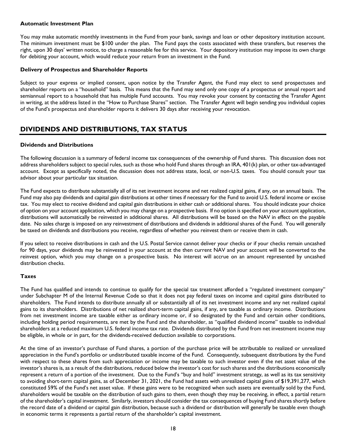#### **Automatic Investment Plan**

You may make automatic monthly investments in the Fund from your bank, savings and loan or other depository institution account. The minimum investment must be \$100 under the plan. The Fund pays the costs associated with these transfers, but reserves the right, upon 30 days' written notice, to charge a reasonable fee for this service. Your depository institution may impose its own charge for debiting your account, which would reduce your return from an investment in the Fund.

#### **Delivery of Prospectus and Shareholder Reports**

Subject to your express or implied consent, upon notice by the Transfer Agent, the Fund may elect to send prospectuses and shareholder reports on a "household" basis. This means that the Fund may send only one copy of a prospectus or annual report and semiannual report to a household that has multiple Fund accounts. You may revoke your consent by contacting the Transfer Agent in writing, at the address listed in the "How to Purchase Shares" section. The Transfer Agent will begin sending you individual copies of the Fund's prospectus and shareholder reports it delivers 30 days after receiving your revocation.

## <span id="page-19-0"></span>**DIVIDENDS AND DISTRIBUTIONS, TAX STATUS**

#### **Dividends and Distributions**

The following discussion is a summary of federal income tax consequences of the ownership of Fund shares. This discussion does not address shareholders subject to special rules, such as those who hold Fund shares through an IRA, 401(k) plan, or other tax-advantaged account. Except as specifically noted, the discussion does not address state, local, or non-U.S. taxes. You should consult your tax advisor about your particular tax situation.

The Fund expects to distribute substantially all of its net investment income and net realized capital gains, if any, on an annual basis. The Fund may also pay dividends and capital gain distributions at other times if necessary for the Fund to avoid U.S. federal income or excise tax. You may elect to receive dividend and capital gain distributions in either cash or additional shares. You should indicate your choice of option on your account application, which you may change on a prospective basis. If no option is specified on your account application, distributions will automatically be reinvested in additional shares. All distributions will be based on the NAV in effect on the payable date. No sales charge is imposed on any reinvestment of distributions and dividends in additional shares of the Fund. You will generally be taxed on dividends and distributions you receive, regardless of whether you reinvest them or receive them in cash.

If you select to receive distributions in cash and the U.S. Postal Service cannot deliver your checks or if your checks remain uncashed for 90 days, your dividends may be reinvested in your account at the then current NAV and your account will be converted to the reinvest option, which you may change on a prospective basis. No interest will accrue on an amount represented by uncashed distribution checks.

#### **Taxes**

The Fund has qualified and intends to continue to qualify for the special tax treatment afforded a "regulated investment company" under Subchapter M of the Internal Revenue Code so that it does not pay federal taxes on income and capital gains distributed to shareholders. The Fund intends to distribute annually all or substantially all of its net investment income and any net realized capital gains to its shareholders. Distributions of net realized short-term capital gains, if any, are taxable as ordinary income. Distributions from net investment income are taxable either as ordinary income or, if so designated by the Fund and certain other conditions, including holding period requirements, are met by the Fund and the shareholder, as "qualified dividend income" taxable to individual shareholders at a reduced maximum U.S. federal income tax rate. Dividends distributed by the Fund from net investment income may be eligible, in whole or in part, for the dividends-received deduction available to corporations.

At the time of an investor's purchase of Fund shares, a portion of the purchase price will be attributable to realized or unrealized appreciation in the Fund's portfolio or undistributed taxable income of the Fund. Consequently, subsequent distributions by the Fund with respect to these shares from such appreciation or income may be taxable to such investor even if the net asset value of the investor's shares is, as a result of the distributions, reduced below the investor's cost for such shares and the distributions economically represent a return of a portion of the investment. Due to the Fund's "buy and hold" investment strategy, as well as its tax sensitivity to avoiding short-term capital gains, as of December 31, 2021, the Fund had assets with unrealized capital gains of \$19,391,277, which constituted 59% of the Fund's net asset value. If these gains were to be recognized when such assets are eventually sold by the Fund, shareholders would be taxable on the distribution of such gains to them, even though they may be receiving, in effect, a partial return of the shareholder's capital investment. Similarly, investors should consider the tax consequences of buying Fund shares shortly before the record date of a dividend or capital gain distribution, because such a dividend or distribution will generally be taxable even though in economic terms it represents a partial return of the shareholder's capital investment.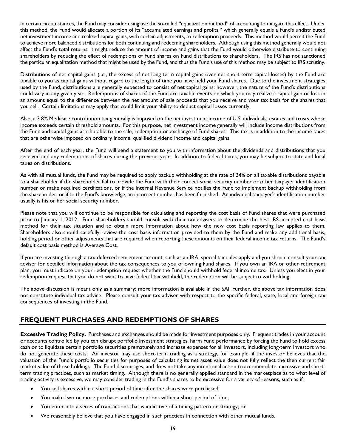In certain circumstances, the Fund may consider using use the so-called "equalization method" of accounting to mitigate this effect. Under this method, the Fund would allocate a portion of its "accumulated earnings and profits," which generally equals a Fund's undistributed net investment income and realized capital gains, with certain adjustments, to redemption proceeds. This method would permit the Fund to achieve more balanced distributions for both continuing and redeeming shareholders. Although using this method generally would not affect the Fund's total returns, it might reduce the amount of income and gains that the Fund would otherwise distribute to continuing shareholders by reducing the effect of redemptions of Fund shares on Fund distributions to shareholders. The IRS has not sanctioned the particular equalization method that might be used by the Fund, and thus the Fund's use of this method may be subject to IRS scrutiny.

Distributions of net capital gains (i.e., the excess of net long-term capital gains over net short-term capital losses) by the Fund are taxable to you as capital gains without regard to the length of time you have held your Fund shares. Due to the investment strategies used by the Fund, distributions are generally expected to consist of net capital gains; however, the nature of the Fund's distributions could vary in any given year. Redemptions of shares of the Fund are taxable events on which you may realize a capital gain or loss in an amount equal to the difference between the net amount of sale proceeds that you receive and your tax basis for the shares that you sell. Certain limitations may apply that could limit your ability to deduct capital losses currently.

Also, a 3.8% Medicare contribution tax generally is imposed on the net investment income of U.S. individuals, estates and trusts whose income exceeds certain threshold amounts. For this purpose, net investment income generally will include income distributions from the Fund and capital gains attributable to the sale, redemption or exchange of Fund shares. This tax is in addition to the income taxes that are otherwise imposed on ordinary income, qualified dividend income and capital gains.

After the end of each year, the Fund will send a statement to you with information about the dividends and distributions that you received and any redemptions of shares during the previous year. In addition to federal taxes, you may be subject to state and local taxes on distributions.

As with all mutual funds, the Fund may be required to apply backup withholding at the rate of 24% on all taxable distributions payable to a shareholder if the shareholder fail to provide the Fund with their correct social security number or other taxpayer identification number or make required certifications, or if the Internal Revenue Service notifies the Fund to implement backup withholding from the shareholder, or if to the Fund's knowledge, an incorrect number has been furnished. An individual taxpayer's identification number usually is his or her social security number.

Please note that you will continue to be responsible for calculating and reporting the cost basis of Fund shares that were purchased prior to January 1, 2012. Fund shareholders should consult with their tax advisers to determine the best IRS-accepted cost basis method for their tax situation and to obtain more information about how the new cost basis reporting law applies to them. Shareholders also should carefully review the cost basis information provided to them by the Fund and make any additional basis, holding period or other adjustments that are required when reporting these amounts on their federal income tax returns. The Fund's default cost basis method is Average Cost.

If you are investing through a tax-deferred retirement account, such as an IRA, special tax rules apply and you should consult your tax adviser for detailed information about the tax consequences to you of owning Fund shares. If you own an IRA or other retirement plan, you must indicate on your redemption request whether the Fund should withhold federal income tax. Unless you elect in your redemption request that you do not want to have federal tax withheld, the redemption will be subject to withholding.

The above discussion is meant only as a summary; more information is available in the SAI. Further, the above tax information does not constitute individual tax advice. Please consult your tax adviser with respect to the specific federal, state, local and foreign tax consequences of investing in the Fund.

## <span id="page-20-0"></span>**FREQUENT PURCHASES AND REDEMPTIONS OF SHARES**

**Excessive Trading Policy.** Purchases and exchanges should be made for investment purposes only. Frequent trades in your account or accounts controlled by you can disrupt portfolio investment strategies, harm Fund performance by forcing the Fund to hold excess cash or to liquidate certain portfolio securities prematurely and increase expenses for all investors, including long-term investors who do not generate these costs. An investor may use short-term trading as a strategy, for example, if the investor believes that the valuation of the Fund's portfolio securities for purposes of calculating its net asset value does not fully reflect the then current fair market value of those holdings. The Fund discourages, and does not take any intentional action to accommodate, excessive and shortterm trading practices, such as market timing. Although there is no generally applied standard in the marketplace as to what level of trading activity is excessive, we may consider trading in the Fund's shares to be excessive for a variety of reasons, such as if:

- You sell shares within a short period of time after the shares were purchased;
- You make two or more purchases and redemptions within a short period of time;
- You enter into a series of transactions that is indicative of a timing pattern or strategy; or
- We reasonably believe that you have engaged in such practices in connection with other mutual funds.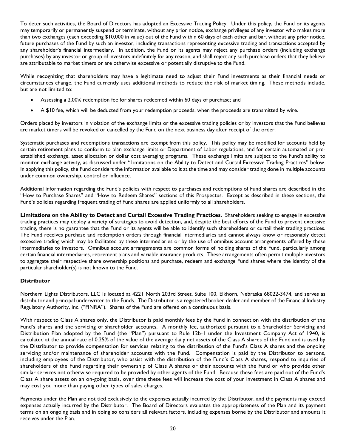To deter such activities, the Board of Directors has adopted an Excessive Trading Policy. Under this policy, the Fund or its agents may temporarily or permanently suspend or terminate, without any prior notice, exchange privileges of any investor who makes more than two exchanges (each exceeding \$10,000 in value) out of the Fund within 60 days of each other and bar, without any prior notice, future purchases of the Fund by such an investor, including transactions representing excessive trading and transactions accepted by any shareholder's financial intermediary. In addition, the Fund or its agents may reject any purchase orders (including exchange purchases) by any investor or group of investors indefinitely for any reason, and shall reject any such purchase orders that they believe are attributable to market timers or are otherwise excessive or potentially disruptive to the Fund.

While recognizing that shareholders may have a legitimate need to adjust their Fund investments as their financial needs or circumstances change, the Fund currently uses additional methods to reduce the risk of market timing. These methods include, but are not limited to:

- Assessing a 2.00% redemption fee for shares redeemed within 60 days of purchase; and
- A \$10 fee, which will be deducted from your redemption proceeds, when the proceeds are transmitted by wire.

Orders placed by investors in violation of the exchange limits or the excessive trading policies or by investors that the Fund believes are market timers will be revoked or cancelled by the Fund on the next business day after receipt of the order.

Systematic purchases and redemptions transactions are exempt from this policy. This policy may be modified for accounts held by certain retirement plans to conform to plan exchange limits or Department of Labor regulations, and for certain automated or preestablished exchange, asset allocation or dollar cost averaging programs. These exchange limits are subject to the Fund's ability to monitor exchange activity, as discussed under "Limitations on the Ability to Detect and Curtail Excessive Trading Practices" below. In applying this policy, the Fund considers the information available to it at the time and may consider trading done in multiple accounts under common ownership, control or influence.

Additional information regarding the Fund's policies with respect to purchases and redemptions of Fund shares are described in the "How to Purchase Shares" and "How to Redeem Shares" sections of this Prospectus. Except as described in these sections, the Fund's policies regarding frequent trading of Fund shares are applied uniformly to all shareholders.

**Limitations on the Ability to Detect and Curtail Excessive Trading Practices.** Shareholders seeking to engage in excessive trading practices may deploy a variety of strategies to avoid detection, and, despite the best efforts of the Fund to prevent excessive trading, there is no guarantee that the Fund or its agents will be able to identify such shareholders or curtail their trading practices. The Fund receives purchase and redemption orders through financial intermediaries and cannot always know or reasonably detect excessive trading which may be facilitated by these intermediaries or by the use of omnibus account arrangements offered by these intermediaries to investors. Omnibus account arrangements are common forms of holding shares of the Fund, particularly among certain financial intermediaries, retirement plans and variable insurance products. These arrangements often permit multiple investors to aggregate their respective share ownership positions and purchase, redeem and exchange Fund shares where the identity of the particular shareholder(s) is not known to the Fund.

#### **Distributor**

Northern Lights Distributors, LLC is located at 4221 North 203rd Street, Suite 100, Elkhorn, Nebraska 68022-3474, and serves as distributor and principal underwriter to the Funds. The Distributor is a registered broker-dealer and member of the Financial Industry Regulatory Authority, Inc. ("FINRA"). Shares of the Fund are offered on a continuous basis.

With respect to Class A shares only, the Distributor is paid monthly fees by the Fund in connection with the distribution of the Fund's shares and the servicing of shareholder accounts. A monthly fee, authorized pursuant to a Shareholder Servicing and Distribution Plan adopted by the Fund (the "Plan") pursuant to Rule 12b-1 under the Investment Company Act of 1940, is calculated at the annual rate of 0.25% of the value of the average daily net assets of the Class A shares of the Fund and is used by the Distributor to provide compensation for services relating to the distribution of the Fund's Class A shares and the ongoing servicing and/or maintenance of shareholder accounts with the Fund. Compensation is paid by the Distributor to persons, including employees of the Distributor, who assist with the distribution of the Fund's Class A shares, respond to inquiries of shareholders of the Fund regarding their ownership of Class A shares or their accounts with the Fund or who provide other similar services not otherwise required to be provided by other agents of the Fund. Because these fees are paid out of the Fund's Class A share assets on an on-going basis, over time these fees will increase the cost of your investment in Class A shares and may cost you more than paying other types of sales charges.

Payments under the Plan are not tied exclusively to the expenses actually incurred by the Distributor, and the payments may exceed expenses actually incurred by the Distributor. The Board of Directors evaluates the appropriateness of the Plan and its payment terms on an ongoing basis and in doing so considers all relevant factors, including expenses borne by the Distributor and amounts it receives under the Plan.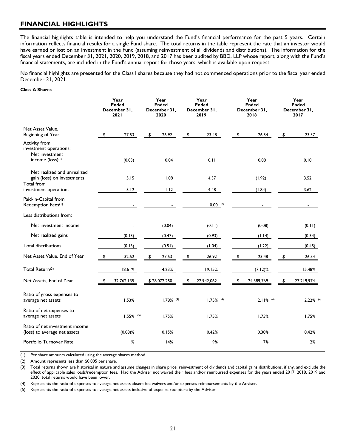## <span id="page-22-0"></span>**FINANCIAL HIGHLIGHTS**

The financial highlights table is intended to help you understand the Fund's financial performance for the past 5 years. Certain information reflects financial results for a single Fund share. The total returns in the table represent the rate that an investor would have earned or lost on an investment in the Fund (assuming reinvestment of all dividends and distributions). The information for the fiscal years ended December 31, 2021, 2020, 2019, 2018, and 2017 has been audited by BBD, LLP whose report, along with the Fund's financial statements, are included in the Fund's annual report for those years, which is available upon request.

No financial highlights are presented for the Class I shares because they had not commenced operations prior to the fiscal year ended December 31, 2021.

#### **Class A Shares**

|                                                                                           | Year<br><b>Ended</b><br>December 31,<br><b>2021</b> | Year<br><b>Ended</b><br>December 31,<br>2020 | Year<br><b>Ended</b><br>December 31,<br>2019 |    | Year<br><b>Ended</b><br>December 31,<br>2018 | Year<br><b>Ended</b><br>December 31,<br>2017 |
|-------------------------------------------------------------------------------------------|-----------------------------------------------------|----------------------------------------------|----------------------------------------------|----|----------------------------------------------|----------------------------------------------|
| Net Asset Value,<br>Beginning of Year                                                     | \$<br>27.53                                         | \$<br>26.92                                  | \$<br>23.48                                  | \$ | 26.54                                        | \$<br>23.37                                  |
| Activity from<br>investment operations:<br>Net investment<br>income (loss) <sup>(1)</sup> | (0.03)                                              | 0.04                                         | 0.11                                         |    | 0.08                                         | 0.10                                         |
| Net realized and unrealized<br>gain (loss) on investments<br>Total from                   | 5.15                                                | 1.08                                         | 4.37                                         |    | (1.92)                                       | 3.52                                         |
| investment operations                                                                     | 5.12                                                | 1.12                                         | 4.48                                         |    | (1.84)                                       | 3.62                                         |
| Paid-in-Capital from<br>Redemption Fees(1)                                                |                                                     |                                              | $0.00$ (2)                                   |    |                                              | $\blacksquare$                               |
| Less distributions from:                                                                  |                                                     |                                              |                                              |    |                                              |                                              |
| Net investment income                                                                     |                                                     | (0.04)                                       | (0.11)                                       |    | (0.08)                                       | (0.11)                                       |
| Net realized gains                                                                        | (0.13)                                              | (0.47)                                       | (0.93)                                       |    | (1.14)                                       | (0.34)                                       |
| <b>Total distributions</b>                                                                | (0.13)                                              | (0.51)                                       | (1.04)                                       |    | (1.22)                                       | (0.45)                                       |
| Net Asset Value, End of Year                                                              | \$<br>32.52                                         | \$<br>27.53                                  | \$<br>26.92                                  | \$ | 23.48                                        | \$<br>26.54                                  |
| Total Return(3)                                                                           | 18.61%                                              | 4.23%                                        | 19.15%                                       |    | $(7.12)$ %                                   | 15.48%                                       |
| Net Assets, End of Year                                                                   | \$<br>32,762,135                                    | \$28,072,250                                 | \$<br>27,942,062                             | s. | 24,389,769                                   | \$<br>27,219,974                             |
| Ratio of gross expenses to<br>average net assets                                          | 1.53%                                               | $1.78\%$ <sup>(4)</sup>                      | $1.75\%$ <sup>(4)</sup>                      |    | $2.11\%$ <sup>(4)</sup>                      | $2.22\%$ (4)                                 |
| Ratio of net expenses to<br>average net assets                                            | $1.55\%$ (5)                                        | 1.75%                                        | 1.75%                                        |    | 1.75%                                        | 1.75%                                        |
| Ratio of net investment income<br>(loss) to average net assets                            | $(0.08)$ %                                          | 0.15%                                        | 0.42%                                        |    | 0.30%                                        | 0.42%                                        |
| Portfolio Turnover Rate                                                                   | 1%                                                  | 14%                                          | 9%                                           |    | 7%                                           | 2%                                           |

(1) Per share amounts calculated using the average shares method.

(2) Amount represents less than \$0.005 per share.

(3) Total returns shown are historical in nature and assume changes in share price, reinvestment of dividends and capital gains distributions, if any, and exclude the effect of applicable sales loads/redemption fees. Had the Adviser not waived their fees and/or reimbursed expenses for the years ended 2017, 2018, 2019 and 2020, total returns would have been lower.

(4) Represents the ratio of expenses to average net assets absent fee waivers and/or expenses reimbursements by the Adviser.

(5) Represents the ratio of expenses to average net assets inclusive of expense recapture by the Adviser.